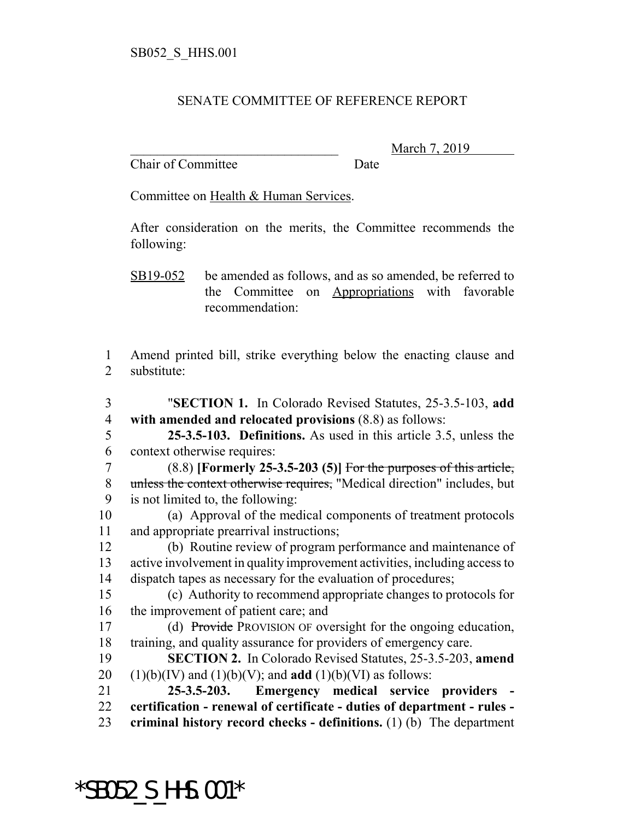## SENATE COMMITTEE OF REFERENCE REPORT

Chair of Committee Date

March 7, 2019

Committee on Health & Human Services.

After consideration on the merits, the Committee recommends the following:

SB19-052 be amended as follows, and as so amended, be referred to the Committee on Appropriations with favorable recommendation:

 Amend printed bill, strike everything below the enacting clause and substitute:

 "**SECTION 1.** In Colorado Revised Statutes, 25-3.5-103, **add with amended and relocated provisions** (8.8) as follows: **25-3.5-103. Definitions.** As used in this article 3.5, unless the context otherwise requires: (8.8) **[Formerly 25-3.5-203 (5)]** For the purposes of this article, 8 unless the context otherwise requires, "Medical direction" includes, but is not limited to, the following: (a) Approval of the medical components of treatment protocols and appropriate prearrival instructions; (b) Routine review of program performance and maintenance of active involvement in quality improvement activities, including access to dispatch tapes as necessary for the evaluation of procedures; (c) Authority to recommend appropriate changes to protocols for the improvement of patient care; and (d) Provide PROVISION OF oversight for the ongoing education, training, and quality assurance for providers of emergency care. **SECTION 2.** In Colorado Revised Statutes, 25-3.5-203, **amend**  $(1)(b)(IV)$  and  $(1)(b)(V)$ ; and **add**  $(1)(b)(VI)$  as follows: **25-3.5-203. Emergency medical service providers - certification - renewal of certificate - duties of department - rules - criminal history record checks - definitions.** (1) (b) The department

\*SB052\_S\_HHS.001\*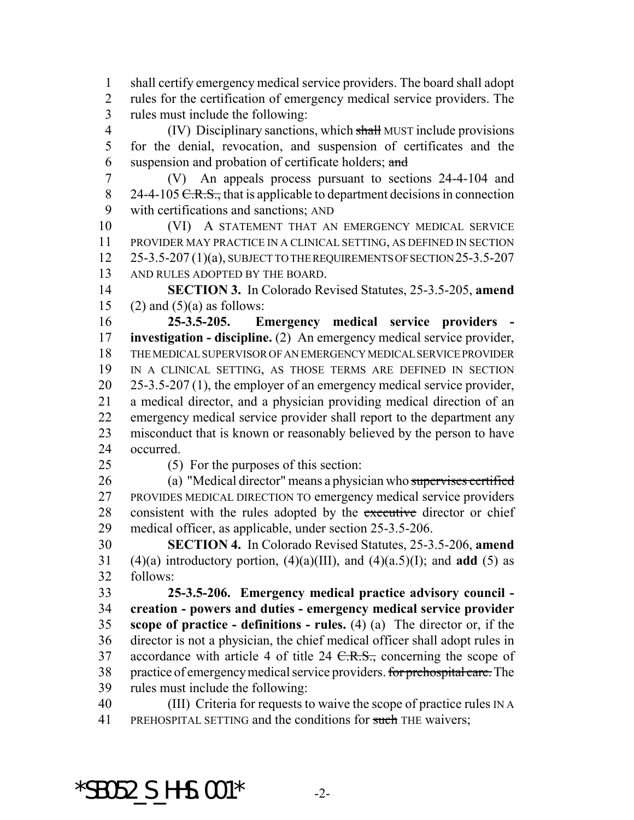shall certify emergency medical service providers. The board shall adopt rules for the certification of emergency medical service providers. The rules must include the following:

4 (IV) Disciplinary sanctions, which shall MUST include provisions for the denial, revocation, and suspension of certificates and the 6 suspension and probation of certificate holders; and

 (V) An appeals process pursuant to sections 24-4-104 and 8 24-4-105  $C.R.S.,$  that is applicable to department decisions in connection with certifications and sanctions; AND

 (VI) A STATEMENT THAT AN EMERGENCY MEDICAL SERVICE PROVIDER MAY PRACTICE IN A CLINICAL SETTING, AS DEFINED IN SECTION 25-3.5-207 (1)(a), SUBJECT TO THE REQUIREMENTS OF SECTION 25-3.5-207 AND RULES ADOPTED BY THE BOARD.

 **SECTION 3.** In Colorado Revised Statutes, 25-3.5-205, **amend** 15 (2) and  $(5)(a)$  as follows:

 **25-3.5-205. Emergency medical service providers - investigation - discipline.** (2) An emergency medical service provider, THE MEDICAL SUPERVISOR OF AN EMERGENCY MEDICAL SERVICE PROVIDER IN A CLINICAL SETTING, AS THOSE TERMS ARE DEFINED IN SECTION 25-3.5-207 (1), the employer of an emergency medical service provider, a medical director, and a physician providing medical direction of an emergency medical service provider shall report to the department any misconduct that is known or reasonably believed by the person to have occurred.

(5) For the purposes of this section:

 (a) "Medical director" means a physician who supervises certified PROVIDES MEDICAL DIRECTION TO emergency medical service providers 28 consistent with the rules adopted by the executive director or chief medical officer, as applicable, under section 25-3.5-206.

 **SECTION 4.** In Colorado Revised Statutes, 25-3.5-206, **amend** 31 (4)(a) introductory portion,  $(4)(a)(III)$ , and  $(4)(a.5)(I)$ ; and **add** (5) as follows:

 **25-3.5-206. Emergency medical practice advisory council - creation - powers and duties - emergency medical service provider scope of practice - definitions - rules.** (4) (a) The director or, if the director is not a physician, the chief medical officer shall adopt rules in 37 accordance with article 4 of title  $24 \text{ C.R.S.}$ , concerning the scope of 38 practice of emergency medical service providers. for prehospital care. The rules must include the following:

 (III) Criteria for requests to waive the scope of practice rules IN A 41 PREHOSPITAL SETTING and the conditions for such THE waivers;

 $*$ SB052 S HHS.001 $*$  -2-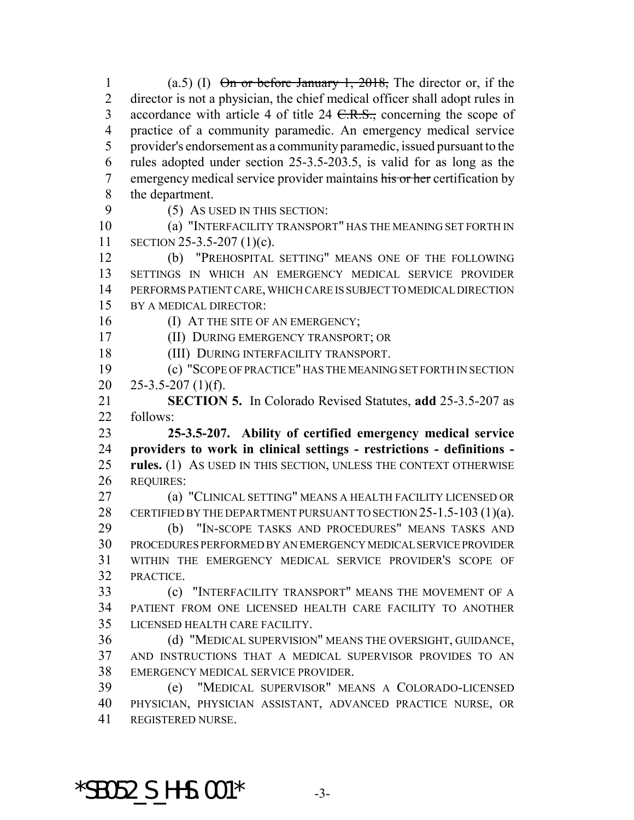1 (a.5) (I)  $\theta$  or before January 1, 2018, The director or, if the director is not a physician, the chief medical officer shall adopt rules in 3 accordance with article 4 of title  $24 \text{ C.R.S.}$ , concerning the scope of practice of a community paramedic. An emergency medical service provider's endorsement as a community paramedic, issued pursuant to the rules adopted under section 25-3.5-203.5, is valid for as long as the 7 emergency medical service provider maintains his or her certification by the department.

9 (5) AS USED IN THIS SECTION:

 (a) "INTERFACILITY TRANSPORT" HAS THE MEANING SET FORTH IN SECTION 25-3.5-207 (1)(c).

 (b) "PREHOSPITAL SETTING" MEANS ONE OF THE FOLLOWING SETTINGS IN WHICH AN EMERGENCY MEDICAL SERVICE PROVIDER PERFORMS PATIENT CARE, WHICH CARE IS SUBJECT TO MEDICAL DIRECTION BY A MEDICAL DIRECTOR:

16 (I) AT THE SITE OF AN EMERGENCY;

(II) DURING EMERGENCY TRANSPORT; OR

(III) DURING INTERFACILITY TRANSPORT.

 (c) "SCOPE OF PRACTICE" HAS THE MEANING SET FORTH IN SECTION 20  $25-3.5-207(1)(f)$ .

 **SECTION 5.** In Colorado Revised Statutes, **add** 25-3.5-207 as follows:

 **25-3.5-207. Ability of certified emergency medical service providers to work in clinical settings - restrictions - definitions - rules.** (1) AS USED IN THIS SECTION, UNLESS THE CONTEXT OTHERWISE REQUIRES:

 (a) "CLINICAL SETTING" MEANS A HEALTH FACILITY LICENSED OR 28 CERTIFIED BY THE DEPARTMENT PURSUANT TO SECTION 25-1.5-103 (1)(a).

 (b) "IN-SCOPE TASKS AND PROCEDURES" MEANS TASKS AND PROCEDURES PERFORMED BY AN EMERGENCY MEDICAL SERVICE PROVIDER WITHIN THE EMERGENCY MEDICAL SERVICE PROVIDER'S SCOPE OF PRACTICE.

 (c) "INTERFACILITY TRANSPORT" MEANS THE MOVEMENT OF A PATIENT FROM ONE LICENSED HEALTH CARE FACILITY TO ANOTHER LICENSED HEALTH CARE FACILITY.

 (d) "MEDICAL SUPERVISION" MEANS THE OVERSIGHT, GUIDANCE, AND INSTRUCTIONS THAT A MEDICAL SUPERVISOR PROVIDES TO AN EMERGENCY MEDICAL SERVICE PROVIDER.

 (e) "MEDICAL SUPERVISOR" MEANS A COLORADO-LICENSED PHYSICIAN, PHYSICIAN ASSISTANT, ADVANCED PRACTICE NURSE, OR REGISTERED NURSE.

 $*$ SB052 S HHS.001 $*$  -3-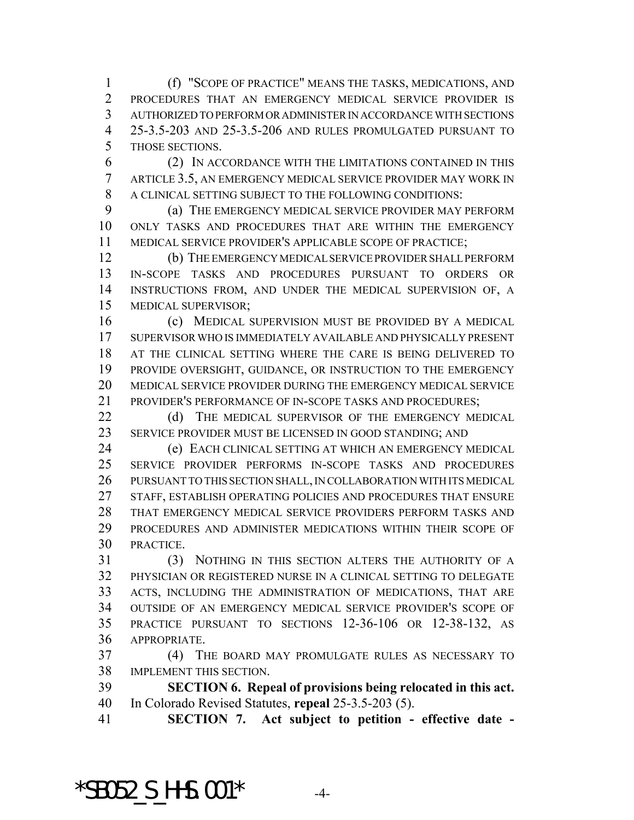(f) "SCOPE OF PRACTICE" MEANS THE TASKS, MEDICATIONS, AND PROCEDURES THAT AN EMERGENCY MEDICAL SERVICE PROVIDER IS AUTHORIZED TO PERFORM OR ADMINISTER IN ACCORDANCE WITH SECTIONS 25-3.5-203 AND 25-3.5-206 AND RULES PROMULGATED PURSUANT TO THOSE SECTIONS.

 (2) IN ACCORDANCE WITH THE LIMITATIONS CONTAINED IN THIS ARTICLE 3.5, AN EMERGENCY MEDICAL SERVICE PROVIDER MAY WORK IN A CLINICAL SETTING SUBJECT TO THE FOLLOWING CONDITIONS:

 (a) THE EMERGENCY MEDICAL SERVICE PROVIDER MAY PERFORM ONLY TASKS AND PROCEDURES THAT ARE WITHIN THE EMERGENCY MEDICAL SERVICE PROVIDER'S APPLICABLE SCOPE OF PRACTICE;

 (b) THE EMERGENCY MEDICAL SERVICE PROVIDER SHALL PERFORM IN-SCOPE TASKS AND PROCEDURES PURSUANT TO ORDERS OR INSTRUCTIONS FROM, AND UNDER THE MEDICAL SUPERVISION OF, A MEDICAL SUPERVISOR;

 (c) MEDICAL SUPERVISION MUST BE PROVIDED BY A MEDICAL SUPERVISOR WHO IS IMMEDIATELY AVAILABLE AND PHYSICALLY PRESENT AT THE CLINICAL SETTING WHERE THE CARE IS BEING DELIVERED TO PROVIDE OVERSIGHT, GUIDANCE, OR INSTRUCTION TO THE EMERGENCY MEDICAL SERVICE PROVIDER DURING THE EMERGENCY MEDICAL SERVICE PROVIDER'S PERFORMANCE OF IN-SCOPE TASKS AND PROCEDURES;

22 (d) THE MEDICAL SUPERVISOR OF THE EMERGENCY MEDICAL SERVICE PROVIDER MUST BE LICENSED IN GOOD STANDING; AND

 (e) EACH CLINICAL SETTING AT WHICH AN EMERGENCY MEDICAL SERVICE PROVIDER PERFORMS IN-SCOPE TASKS AND PROCEDURES PURSUANT TO THIS SECTION SHALL, IN COLLABORATION WITH ITS MEDICAL STAFF, ESTABLISH OPERATING POLICIES AND PROCEDURES THAT ENSURE THAT EMERGENCY MEDICAL SERVICE PROVIDERS PERFORM TASKS AND PROCEDURES AND ADMINISTER MEDICATIONS WITHIN THEIR SCOPE OF PRACTICE.

 (3) NOTHING IN THIS SECTION ALTERS THE AUTHORITY OF A PHYSICIAN OR REGISTERED NURSE IN A CLINICAL SETTING TO DELEGATE ACTS, INCLUDING THE ADMINISTRATION OF MEDICATIONS, THAT ARE OUTSIDE OF AN EMERGENCY MEDICAL SERVICE PROVIDER'S SCOPE OF PRACTICE PURSUANT TO SECTIONS 12-36-106 OR 12-38-132, AS APPROPRIATE.

 (4) THE BOARD MAY PROMULGATE RULES AS NECESSARY TO IMPLEMENT THIS SECTION.

 **SECTION 6. Repeal of provisions being relocated in this act.** In Colorado Revised Statutes, **repeal** 25-3.5-203 (5).

**SECTION 7. Act subject to petition - effective date -**

 $*$ SB052 S HHS.001 $*$  -4-